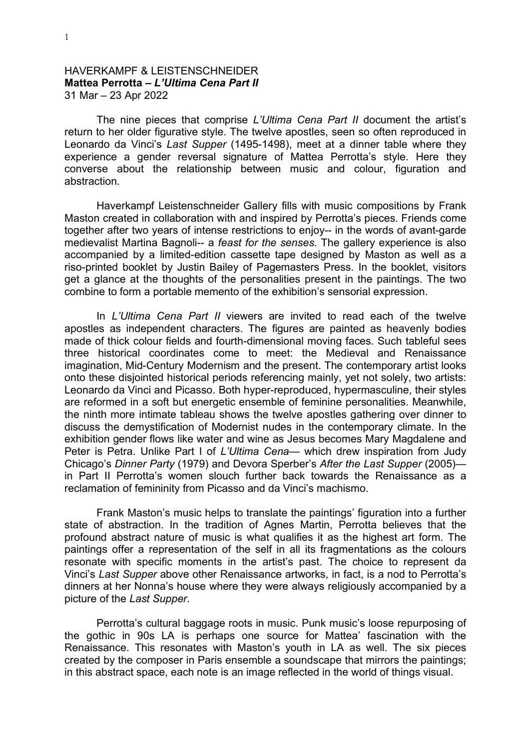## HAVERKAMPF & LEISTENSCHNEIDER **Mattea Perrotta –** *L'Ultima Cena Part II* 31 Mar – 23 Apr 2022

The nine pieces that comprise *L'Ultima Cena Part II* document the artist's return to her older figurative style. The twelve apostles, seen so often reproduced in Leonardo da Vinci's *Last Supper* (1495-1498), meet at a dinner table where they experience a gender reversal signature of Mattea Perrotta's style. Here they converse about the relationship between music and colour, figuration and abstraction.

Haverkampf Leistenschneider Gallery fills with music compositions by Frank Maston created in collaboration with and inspired by Perrotta's pieces. Friends come together after two years of intense restrictions to enjoy-- in the words of avant-garde medievalist Martina Bagnoli-- a *feast for the senses*. The gallery experience is also accompanied by a limited-edition cassette tape designed by Maston as well as a riso-printed booklet by Justin Bailey of Pagemasters Press. In the booklet, visitors get a glance at the thoughts of the personalities present in the paintings. The two combine to form a portable memento of the exhibition's sensorial expression.

In *L'Ultima Cena Part II* viewers are invited to read each of the twelve apostles as independent characters. The figures are painted as heavenly bodies made of thick colour fields and fourth-dimensional moving faces. Such tableful sees three historical coordinates come to meet: the Medieval and Renaissance imagination, Mid-Century Modernism and the present. The contemporary artist looks onto these disjointed historical periods referencing mainly, yet not solely, two artists: Leonardo da Vinci and Picasso. Both hyper-reproduced, hypermasculine, their styles are reformed in a soft but energetic ensemble of feminine personalities. Meanwhile, the ninth more intimate tableau shows the twelve apostles gathering over dinner to discuss the demystification of Modernist nudes in the contemporary climate. In the exhibition gender flows like water and wine as Jesus becomes Mary Magdalene and Peter is Petra. Unlike Part I of *L'Ultima Cena*— which drew inspiration from Judy Chicago's *Dinner Party* (1979) and Devora Sperber's *After the Last Supper* (2005) in Part II Perrotta's women slouch further back towards the Renaissance as a reclamation of femininity from Picasso and da Vinci's machismo.

Frank Maston's music helps to translate the paintings' figuration into a further state of abstraction. In the tradition of Agnes Martin, Perrotta believes that the profound abstract nature of music is what qualifies it as the highest art form. The paintings offer a representation of the self in all its fragmentations as the colours resonate with specific moments in the artist's past. The choice to represent da Vinci's *Last Supper* above other Renaissance artworks, in fact, is a nod to Perrotta's dinners at her Nonna's house where they were always religiously accompanied by a picture of the *Last Supper*.

Perrotta's cultural baggage roots in music. Punk music's loose repurposing of the gothic in 90s LA is perhaps one source for Mattea' fascination with the Renaissance. This resonates with Maston's youth in LA as well. The six pieces created by the composer in Paris ensemble a soundscape that mirrors the paintings; in this abstract space, each note is an image reflected in the world of things visual.